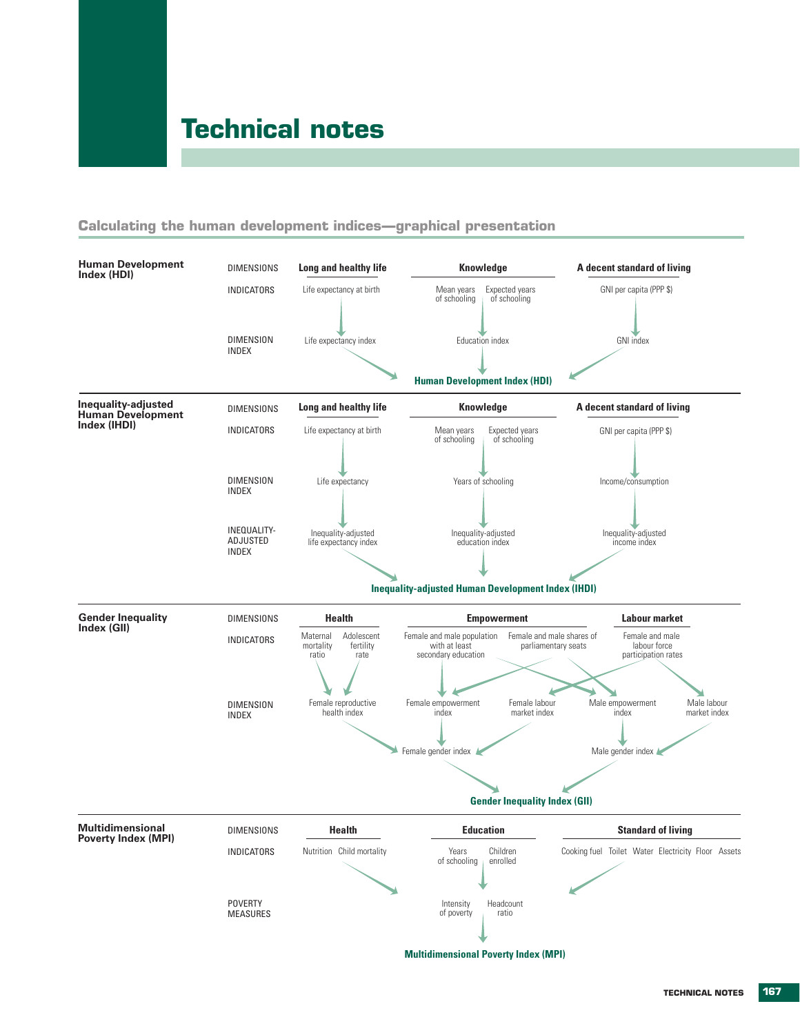# **Technical notes**

## **Calculating the human development indices—graphical presentation**

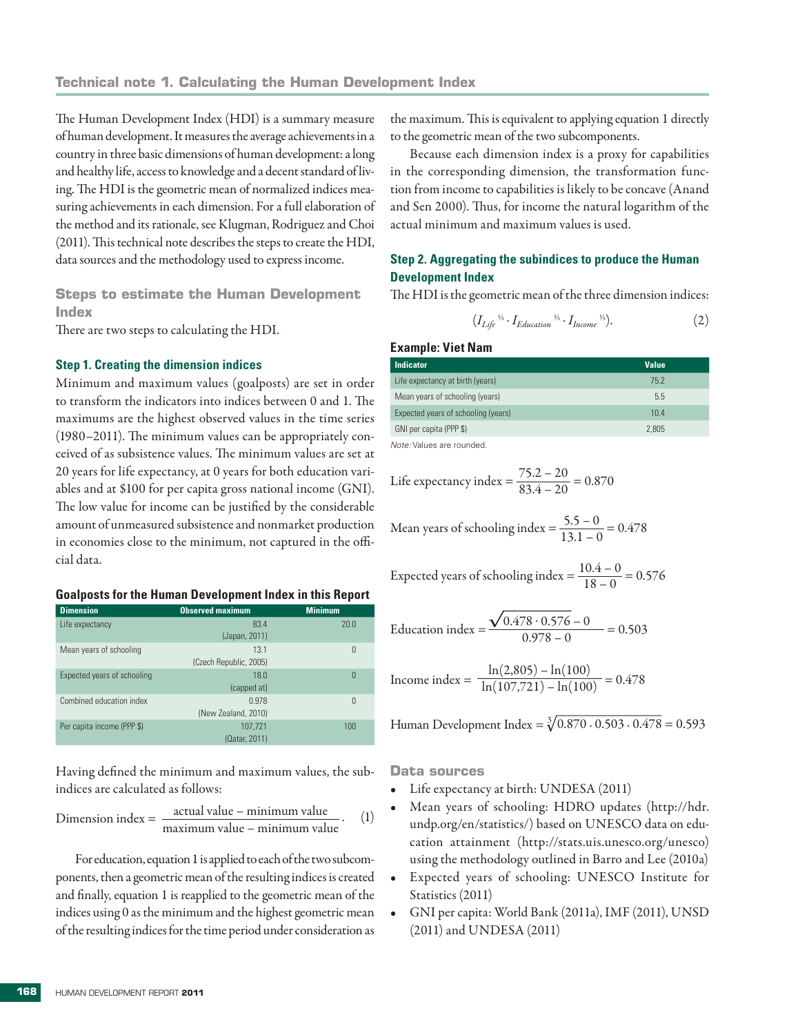The Human Development Index (HDI) is a summary measure of human development. It measures the average achievements in a country in three basic dimensions of human development: a long and healthy life, access to knowledge and a decent standard of living. The HDI is the geometric mean of normalized indices measuring achievements in each dimension. For a full elaboration of the method and its rationale, see Klugman, Rodriguez and Choi (2011). This technical note describes the steps to create the HDI, data sources and the methodology used to express income.

**Steps to estimate the Human Development Index**

There are two steps to calculating the HDI.

#### **Step 1. Creating the dimension indices**

Minimum and maximum values (goalposts) are set in order to transform the indicators into indices between 0 and 1. The maximums are the highest observed values in the time series (1980–2011). The minimum values can be appropriately conceived of as subsistence values. The minimum values are set at 20 years for life expectancy, at 0 years for both education variables and at \$100 for per capita gross national income (GNI). The low value for income can be justified by the considerable amount of unmeasured subsistence and nonmarket production in economies close to the minimum, not captured in the official data.

### **Goalposts for the Human Development Index in this Report**

| <b>Dimension</b>            | <b>Observed maximum</b>        | <b>Minimum</b> |
|-----------------------------|--------------------------------|----------------|
| Life expectancy             | 83.4<br>(Japan, 2011)          | 20.0           |
| Mean years of schooling     | 13.1<br>(Czech Republic, 2005) | 0              |
| Expected years of schooling | 18.0<br>(capped at)            | 0              |
| Combined education index    | 0.978<br>(New Zealand, 2010)   | 0              |
| Per capita income (PPP \$)  | 107.721<br>(Qatar. 2011)       | 100            |

Having defined the minimum and maximum values, the subindices are calculated as follows:

Dimension index = 
$$
\frac{\text{actual value} - \text{minimum value}}{\text{maximum value} - \text{minimum value}}.
$$
 (1)

For education, equation 1 is applied to each of the two subcomponents, then a geometric mean of the resulting indices is created and finally, equation 1 is reapplied to the geometric mean of the indices using 0 as the minimum and the highest geometric mean of the resulting indices for the time period under consideration as

the maximum. This is equivalent to applying equation 1 directly to the geometric mean of the two subcomponents.

Because each dimension index is a proxy for capabilities in the corresponding dimension, the transformation function from income to capabilities is likely to be concave (Anand and Sen 2000). Thus, for income the natural logarithm of the actual minimum and maximum values is used.

## **Step 2. Aggregating the subindices to produce the Human Development Index**

The HDI is the geometric mean of the three dimension indices:

$$
(I_{Life}^{\gamma_5} \cdot I_{Education}^{\gamma_5} \cdot I_{Income}^{\gamma_5}). \tag{2}
$$

### **Example: Viet Nam**

| <b>Indicator</b>                    | <b>Value</b> |
|-------------------------------------|--------------|
| Life expectancy at birth (years)    | 75.2         |
| Mean years of schooling (years)     | 5.5          |
| Expected years of schooling (years) | 10.4         |
| GNI per capita (PPP \$)             | 2.805        |
|                                     |              |

*Note:* Values are rounded.

Life expectancy index  $=$   $\frac{75.2 - 20}{83.4 - 20} = 0.870$ 

Mean years of schooling index =  $\frac{5.5 - 0}{13.1 - 0}$  = 0.478

Expected years of schooling index = 
$$
\frac{10.4 - 0}{18 - 0} = 0.576
$$

Education index =  $\frac{\sqrt{0.478 \cdot 0.576 - 0}}{0.978 - 0}$  = 0.503

Income index =  $\frac{\ln(2,805) - \ln(100)}{\ln(107,721) - \ln(100)} = 0.478$ 

Human Development Index =  $\sqrt[3]{0.870 \cdot 0.503 \cdot 0.478}$  = 0.593

**Data sources**

- Life expectancy at birth: UNDESA (2011)
- Mean years of schooling: HDRO updates (http://hdr. undp.org/en/statistics/) based on UNESCO data on education attainment (http://stats.uis.unesco.org/unesco) using the methodology outlined in Barro and Lee (2010a)
- • Expected years of schooling: UNESCO Institute for Statistics (2011)
- GNI per capita: World Bank (2011a), IMF (2011), UNSD (2011) and UNDESA (2011)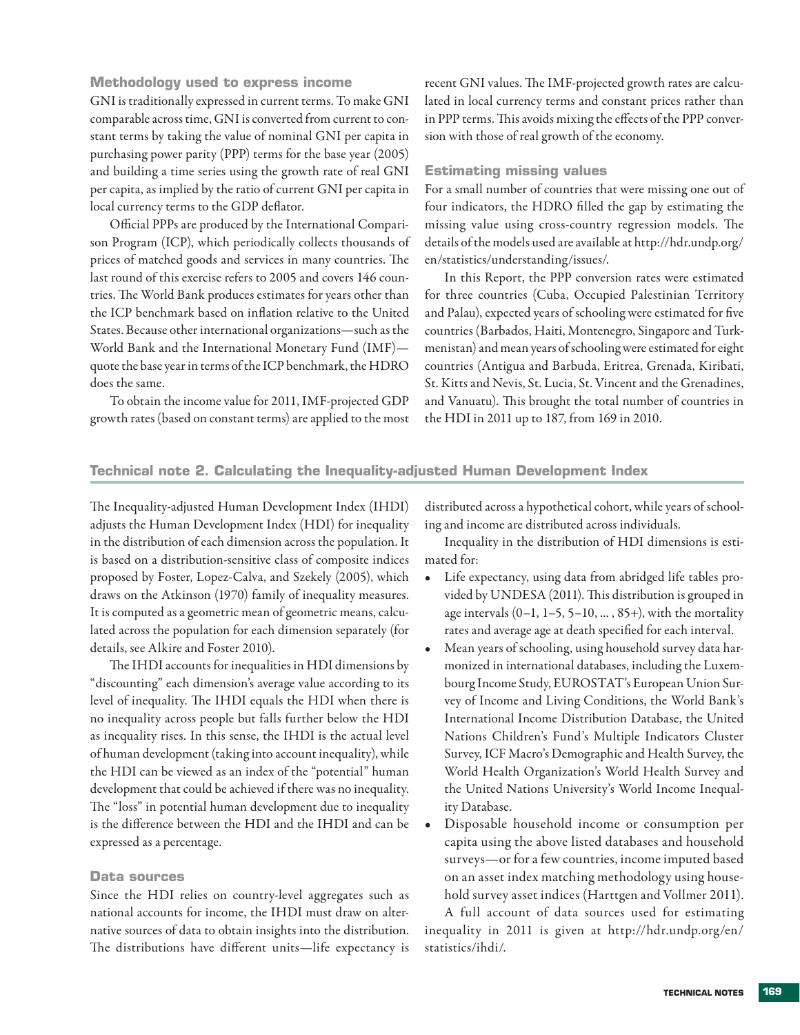**Methodology used to express income**

GNI is traditionally expressed in current terms. To make GNI comparable across time, GNI is converted from current to constant terms by taking the value of nominal GNI per capita in purchasing power parity (PPP) terms for the base year (2005) and building a time series using the growth rate of real GNI per capita, as implied by the ratio of current GNI per capita in local currency terms to the GDP deflator.

Official PPPs are produced by the International Comparison Program (ICP), which periodically collects thousands of prices of matched goods and services in many countries. The last round of this exercise refers to 2005 and covers 146 countries. The World Bank produces estimates for years other than the ICP benchmark based on inflation relative to the United States. Because other international organizations—such as the World Bank and the International Monetary Fund (IMF) quote the base year in terms of the ICP benchmark, the HDRO does the same.

To obtain the income value for 2011, IMF-projected GDP growth rates (based on constant terms) are applied to the most recent GNI values. The IMF-projected growth rates are calculated in local currency terms and constant prices rather than in PPP terms. This avoids mixing the effects of the PPP conversion with those of real growth of the economy.

### **Estimating missing values**

For a small number of countries that were missing one out of four indicators, the HDRO filled the gap by estimating the missing value using cross-country regression models. The details of the models used are available at http://hdr.undp.org/ en/statistics/understanding/issues/.

In this Report, the PPP conversion rates were estimated for three countries (Cuba, Occupied Palestinian Territory and Palau), expected years of schooling were estimated for five countries (Barbados, Haiti, Montenegro, Singapore and Turkmenistan) and mean years of schooling were estimated for eight countries (Antigua and Barbuda, Eritrea, Grenada, Kiribati, St. Kitts and Nevis, St. Lucia, St. Vincent and the Grenadines, and Vanuatu). This brought the total number of countries in the HDI in 2011 up to 187, from 169 in 2010.

## **Technical note 2. Calculating the Inequality-adjusted Human Development Index**

The Inequality-adjusted Human Development Index (IHDI) adjusts the Human Development Index (HDI) for inequality in the distribution of each dimension across the population. It is based on a distribution-sensitive class of composite indices proposed by Foster, Lopez-Calva, and Szekely (2005), which draws on the Atkinson (1970) family of inequality measures. It is computed as a geometric mean of geometric means, calculated across the population for each dimension separately (for details, see Alkire and Foster 2010).

The IHDI accounts for inequalities in HDI dimensions by "discounting" each dimension's average value according to its level of inequality. The IHDI equals the HDI when there is no inequality across people but falls further below the HDI as inequality rises. In this sense, the IHDI is the actual level of human development (taking into account inequality), while the HDI can be viewed as an index of the "potential" human development that could be achieved if there was no inequality. The "loss" in potential human development due to inequality is the difference between the HDI and the IHDI and can be expressed as a percentage.

## **Data sources**

Since the HDI relies on country-level aggregates such as national accounts for income, the IHDI must draw on alternative sources of data to obtain insights into the distribution. The distributions have different units—life expectancy is

distributed across a hypothetical cohort, while years of schooling and income are distributed across individuals.

Inequality in the distribution of HDI dimensions is estimated for:

- • Life expectancy, using data from abridged life tables provided by UNDESA (2011). This distribution is grouped in age intervals  $(0-1, 1-5, 5-10, \ldots, 85+)$ , with the mortality rates and average age at death specified for each interval.
- Mean years of schooling, using household survey data harmonized in international databases, including the Luxembourg Income Study, EUROSTAT's European Union Survey of Income and Living Conditions, the World Bank's International Income Distribution Database, the United Nations Children's Fund's Multiple Indicators Cluster Survey, ICF Macro's Demographic and Health Survey, the World Health Organization's World Health Survey and the United Nations University's World Income Inequality Database.
- Disposable household income or consumption per capita using the above listed databases and household surveys—or for a few countries, income imputed based on an asset index matching methodology using household survey asset indices (Harttgen and Vollmer 2011).

A full account of data sources used for estimating inequality in 2011 is given at http://hdr.undp.org/en/ statistics/ihdi/.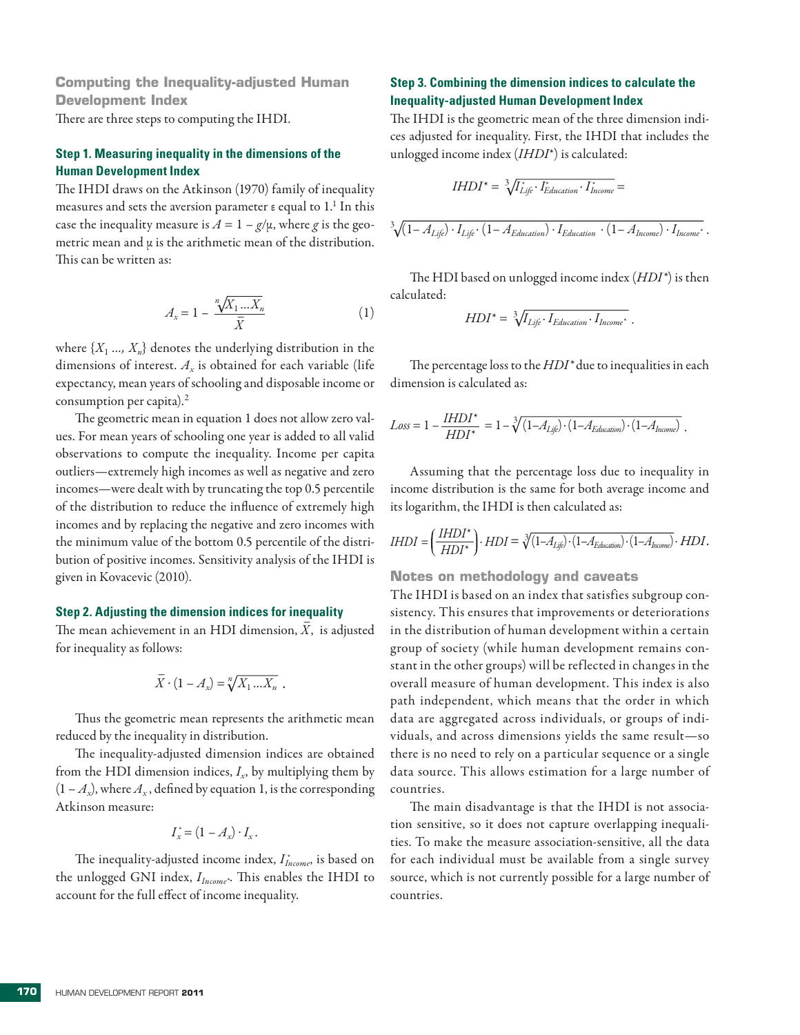**Computing the Inequality-adjusted Human Development Index**

There are three steps to computing the IHDI.

## **Step 1. Measuring inequality in the dimensions of the Human Development Index**

The IHDI draws on the Atkinson (1970) family of inequality measures and sets the aversion parameter  $\varepsilon$  equal to  $1.^1$  In this case the inequality measure is  $A = 1 - g/\mu$ , where *g* is the geometric mean and  $\mu$  is the arithmetic mean of the distribution. This can be written as:

$$
A_x = 1 - \frac{\sqrt[n]{X_1 \dots X_n}}{\bar{X}} \tag{1}
$$

where  $\{X_1, ..., X_n\}$  denotes the underlying distribution in the dimensions of interest. *Ax* is obtained for each variable (life expectancy, mean years of schooling and disposable income or consumption per capita).<sup>2</sup>

The geometric mean in equation 1 does not allow zero values. For mean years of schooling one year is added to all valid observations to compute the inequality. Income per capita outliers—extremely high incomes as well as negative and zero incomes—were dealt with by truncating the top 0.5 percentile of the distribution to reduce the influence of extremely high incomes and by replacing the negative and zero incomes with the minimum value of the bottom 0.5 percentile of the distribution of positive incomes. Sensitivity analysis of the IHDI is given in Kovacevic (2010).

#### **Step 2. Adjusting the dimension indices for inequality**

The mean achievement in an HDI dimension,  $\overline{X}$ , is adjusted for inequality as follows:

$$
\overline{X}\cdot(1-A_x)=\sqrt[n]{X_1\ldots X_n}.
$$

Thus the geometric mean represents the arithmetic mean reduced by the inequality in distribution.

The inequality-adjusted dimension indices are obtained from the HDI dimension indices,  $I<sub>x</sub>$ , by multiplying them by  $(1 - A_x)$ , where  $A_x$ , defined by equation 1, is the corresponding Atkinson measure:

$$
I_x^* = (1 - A_x) \cdot I_x.
$$

The inequality-adjusted income index, *I \* Income*, is based on the unlogged GNI index, *IIncome\**. This enables the IHDI to account for the full effect of income inequality.

## **Step 3. Combining the dimension indices to calculate the Inequality-adjusted Human Development Index**

The IHDI is the geometric mean of the three dimension indices adjusted for inequality. First, the IHDI that includes the unlogged income index (*IHDI*\*) is calculated:

$$
IHDI^* = \sqrt[3]{I_{Life}^* \cdot I_{Education}^* \cdot I_{Income}^*} =
$$

$$
\sqrt[3]{(1 - A_{Life}) \cdot I_{Life} \cdot (1 - A_{Education}) \cdot I_{Education} \cdot (1 - A_{Income}) \cdot I_{Income}^*}.
$$

The HDI based on unlogged income index (*HDI\**) is then calculated:

$$
HDI^* = \sqrt[3]{I_{Life} \cdot I_{Education} \cdot I_{Income^*}}.
$$

The percentage loss to the *HDI\** due to inequalities in each dimension is calculated as:

$$
Loss = 1 - \frac{IHDI^*}{HDI^*} = 1 - \sqrt[3]{\left(1 - A_{Lj\hat{e}}\right) \cdot \left(1 - A_{Eduation}\right) \cdot \left(1 - A_{Income}\right)}.
$$

Assuming that the percentage loss due to inequality in income distribution is the same for both average income and its logarithm, the IHDI is then calculated as:

$$
IHDI = \left(\frac{IHDI^*}{HDI^*}\right) \cdot HDI = \sqrt[3]{(1 - A_{Lj\hat{p}}) \cdot (1 - A_{Eduation}) \cdot (1 - A_{bnew})} \cdot HDI.
$$

**Notes on methodology and caveats**

The IHDI is based on an index that satisfies subgroup consistency. This ensures that improvements or deteriorations in the distribution of human development within a certain group of society (while human development remains constant in the other groups) will be reflected in changes in the overall measure of human development. This index is also path independent, which means that the order in which data are aggregated across individuals, or groups of individuals, and across dimensions yields the same result—so there is no need to rely on a particular sequence or a single data source. This allows estimation for a large number of countries.

The main disadvantage is that the IHDI is not association sensitive, so it does not capture overlapping inequalities. To make the measure association-sensitive, all the data for each individual must be available from a single survey source, which is not currently possible for a large number of countries.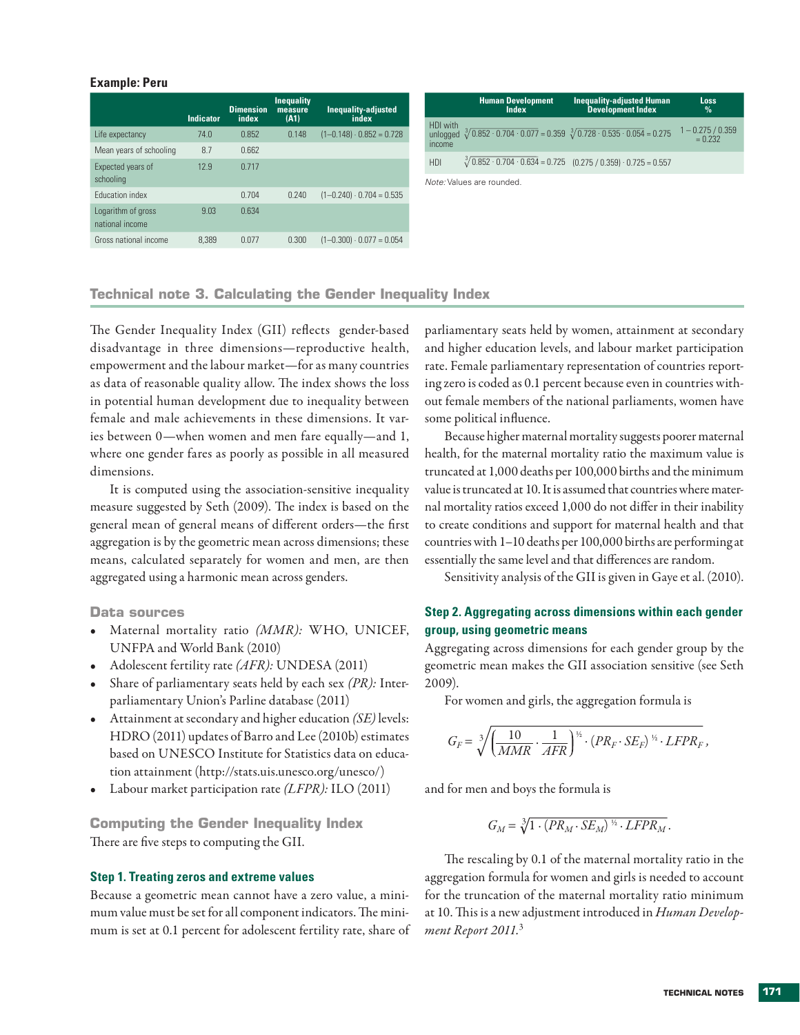#### **Example: Peru**

|                                       |                  | <b>Dimension</b> | <b>Inequality</b><br>measure | <b>Inequality-adjusted</b>      |                      | <b>Human Development</b><br><b>Index</b>                                                                   | <b>Inequality-adjusted Human</b><br><b>Development Index</b>                    | <b>Loss</b><br>$\%$         |
|---------------------------------------|------------------|------------------|------------------------------|---------------------------------|----------------------|------------------------------------------------------------------------------------------------------------|---------------------------------------------------------------------------------|-----------------------------|
|                                       | <b>Indicator</b> | index            | (A1)                         | index                           | HDI with             |                                                                                                            |                                                                                 | $-0.275/0.359$<br>$= 0.232$ |
| Life expectancy                       | 74.0             | 0.852            | 0.148                        | $(1-0.148) \cdot 0.852 = 0.728$ |                      | unlogged $\sqrt[3]{0.852 \cdot 0.704 \cdot 0.077} = 0.359 \sqrt[3]{0.728 \cdot 0.535 \cdot 0.054} = 0.275$ |                                                                                 |                             |
| Mean years of schooling               | 8.7              | 0.662            |                              |                                 | <i><u>Income</u></i> |                                                                                                            |                                                                                 |                             |
| Expected years of                     | 12.9             | 0.717            |                              |                                 | HDI                  |                                                                                                            | $\sqrt[3]{0.852 \cdot 0.704 \cdot 0.634} = 0.725$ (0.275 / 0.359) 0.725 = 0.557 |                             |
| schooling                             |                  |                  |                              |                                 |                      | Note: Values are rounded.                                                                                  |                                                                                 |                             |
| <b>Education index</b>                |                  | 0.704            | 0.240                        | $(1-0.240) \cdot 0.704 = 0.535$ |                      |                                                                                                            |                                                                                 |                             |
| Logarithm of gross<br>national income | 9.03             | 0.634            |                              |                                 |                      |                                                                                                            |                                                                                 |                             |
| Gross national income                 | 8.389            | 0.077            | 0.300                        | $(1-0.300) \cdot 0.077 = 0.054$ |                      |                                                                                                            |                                                                                 |                             |

## **Technical note 3. Calculating the Gender Inequality Index**

The Gender Inequality Index (GII) reflects gender-based disadvantage in three dimensions—reproductive health, empowerment and the labour market—for as many countries as data of reasonable quality allow. The index shows the loss in potential human development due to inequality between female and male achievements in these dimensions. It varies between 0—when women and men fare equally—and 1, where one gender fares as poorly as possible in all measured dimensions.

It is computed using the association-sensitive inequality measure suggested by Seth (2009). The index is based on the general mean of general means of different orders—the first aggregation is by the geometric mean across dimensions; these means, calculated separately for women and men, are then aggregated using a harmonic mean across genders.

## **Data sources**

- Maternal mortality ratio *(MMR)*: WHO, UNICEF, UNFPA and World Bank (2010)
- Adolescent fertility rate *(AFR)*: UNDESA (2011)
- • Share of parliamentary seats held by each sex *(PR):* Interparliamentary Union's Parline database (2011)
- • Attainment at secondary and higher education *(SE)* levels: HDRO (2011) updates of Barro and Lee (2010b) estimates based on UNESCO Institute for Statistics data on education attainment (http://stats.uis.unesco.org/unesco/)
- Labour market participation rate *(LFPR)*: ILO (2011)

**Computing the Gender Inequality Index** There are five steps to computing the GII.

### **Step 1. Treating zeros and extreme values**

Because a geometric mean cannot have a zero value, a minimum value must be set for all component indicators. The minimum is set at 0.1 percent for adolescent fertility rate, share of parliamentary seats held by women, attainment at secondary and higher education levels, and labour market participation rate. Female parliamentary representation of countries reporting zero is coded as 0.1 percent because even in countries without female members of the national parliaments, women have some political influence.

Because higher maternal mortality suggests poorer maternal health, for the maternal mortality ratio the maximum value is truncated at 1,000 deaths per 100,000 births and the minimum value is truncated at 10. It is assumed that countries where maternal mortality ratios exceed 1,000 do not differ in their inability to create conditions and support for maternal health and that countries with 1–10 deaths per 100,000 births are performing at essentially the same level and that differences are random.

Sensitivity analysis of the GII is given in Gaye et al. (2010).

## **Step 2. Aggregating across dimensions within each gender group, using geometric means**

Aggregating across dimensions for each gender group by the geometric mean makes the GII association sensitive (see Seth 2009).

For women and girls, the aggregation formula is

$$
G_F = \sqrt[3]{\left(\frac{10}{MMR}\cdot\frac{1}{AFR}\right)^{\frac{1}{12}}\cdot\left(PR_F\cdot SE_F\right)^{\frac{1}{12}}\cdot LFPR_F},
$$

and for men and boys the formula is

$$
G_M = \sqrt[3]{1 \cdot (PR_M \cdot SE_M)^{\frac{1}{2}} \cdot LFPR_M}.
$$

The rescaling by 0.1 of the maternal mortality ratio in the aggregation formula for women and girls is needed to account for the truncation of the maternal mortality ratio minimum at 10. This is a new adjustment introduced in *Human Development Report 2011.*<sup>3</sup>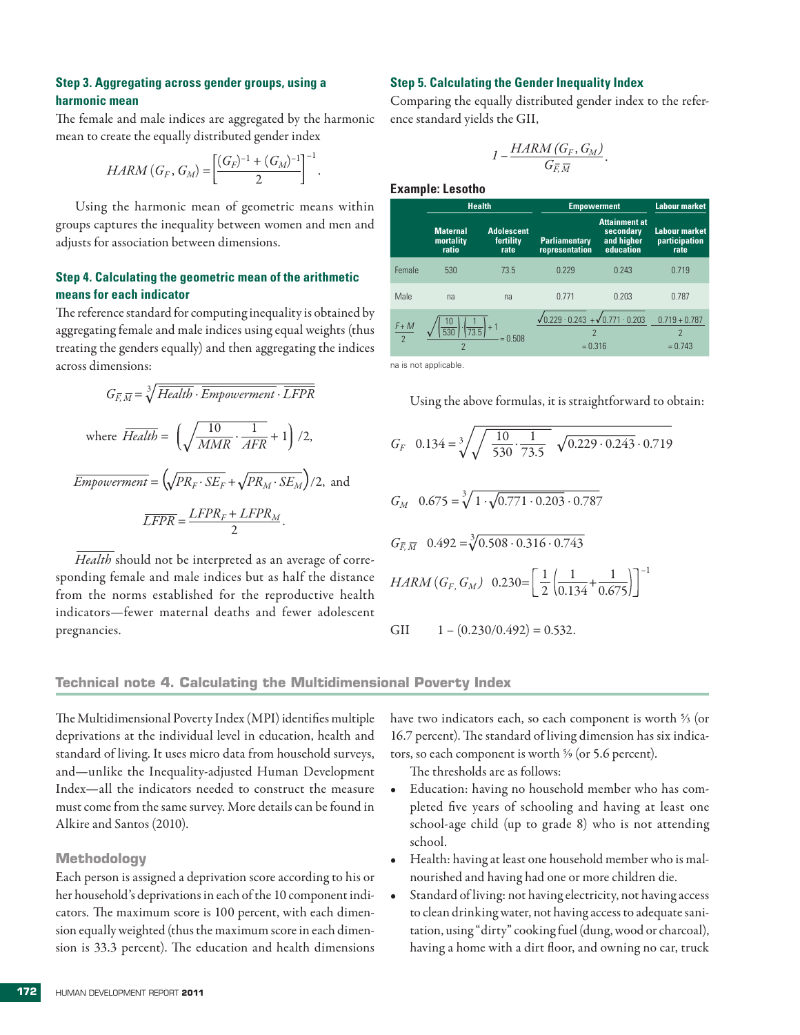## **Step 3. Aggregating across gender groups, using a harmonic mean**

The female and male indices are aggregated by the harmonic mean to create the equally distributed gender index

$$
HARM(G_F, G_M) = \left[\frac{(G_F)^{-1} + (G_M)^{-1}}{2}\right]^{-1}.
$$

Using the harmonic mean of geometric means within groups captures the inequality between women and men and adjusts for association between dimensions.

## **Step 4. Calculating the geometric mean of the arithmetic means for each indicator**

The reference standard for computing inequality is obtained by aggregating female and male indices using equal weights (thus treating the genders equally) and then aggregating the indices across dimensions:

$$
G_{\overline{E},\overline{M}} = \sqrt[3]{Health \cdot Empowerment} \cdot \overline{LFPR}
$$
  
where  $\overline{Health} = \left(\sqrt{\frac{10}{MMR} \cdot \frac{1}{AFR}} + 1\right) / 2,$   
 $\overline{Empowerment} = \left(\sqrt{PR_F \cdot SE_F} + \sqrt{PR_M \cdot SE_M}\right) / 2,$  and  
 $\overline{LFPR} = \frac{LFPR_F + LFPR_M}{2}.$ 

*Health* should not be interpreted as an average of corresponding female and male indices but as half the distance from the norms established for the reproductive health indicators—fewer maternal deaths and fewer adolescent pregnancies.

#### **Step 5. Calculating the Gender Inequality Index**

Comparing the equally distributed gender index to the reference standard yields the GII,

$$
I-\frac{HARM(G_F,G_M)}{G_{\overline{F},\overline{M}}}.
$$

**Example: Lesotho**

|               | <b>Health</b>                         |                                                  |                                                                                                | <b>Empowerment</b>                                           |                                               |  |
|---------------|---------------------------------------|--------------------------------------------------|------------------------------------------------------------------------------------------------|--------------------------------------------------------------|-----------------------------------------------|--|
|               | <b>Maternal</b><br>mortality<br>ratio | <b>Adolescent</b><br>fertility<br>rate           | <b>Parliamentary</b><br>representation                                                         | <b>Attainment at</b><br>secondary<br>and higher<br>education | <b>Labour market</b><br>participation<br>rate |  |
| Female        | 530                                   | 73.5                                             | 0.229                                                                                          | 0.243                                                        | 0.719                                         |  |
| Male          | na                                    | na                                               | 0.771                                                                                          | 0.203                                                        | 0.787                                         |  |
| $rac{F+M}{2}$ | 10<br>$\overline{530}$                | $\left( \frac{1}{73.5} \right) + 1$<br>$= 0.508$ | $\sqrt{0.229 \cdot 0.243} + \sqrt{0.771 \cdot 0.203}$<br>$\overline{\phantom{a}}$<br>$= 0.316$ |                                                              | $0.719 + 0.787$<br>$\mathcal{P}$<br>$= 0.743$ |  |

na is not applicable.

Using the above formulas, it is straightforward to obtain:

$$
G_F \quad 0.134 = \sqrt[3]{\sqrt{\frac{10}{530} \cdot \frac{1}{73.5}} \sqrt{0.229 \cdot 0.243} \cdot 0.719}
$$
  
\n
$$
G_M \quad 0.675 = \sqrt[3]{1 \cdot \sqrt{0.771 \cdot 0.203} \cdot 0.787}
$$
  
\n
$$
G_{\overline{E}, \overline{M}} \quad 0.492 = \sqrt[3]{0.508 \cdot 0.316 \cdot 0.743}
$$
  
\n*HARM* ( $G_F$ ,  $G_M$ ) \n
$$
0.230 = \left[ \frac{1}{2} \left( \frac{1}{0.134} + \frac{1}{0.675} \right) \right]^{-1}
$$
  
\nGII \n
$$
1 - (0.230/0.492) = 0.532.
$$

### **Technical note 4. Calculating the Multidimensional Poverty Index**

The Multidimensional Poverty Index (MPI) identifies multiple deprivations at the individual level in education, health and standard of living. It uses micro data from household surveys, and—unlike the Inequality-adjusted Human Development Index—all the indicators needed to construct the measure must come from the same survey. More details can be found in Alkire and Santos (2010).

#### **Methodology**

Each person is assigned a deprivation score according to his or her household's deprivations in each of the 10 component indicators*.* The maximum score is 100 percent, with each dimension equally weighted (thus the maximum score in each dimension is 33.3 percent). The education and health dimensions

have two indicators each, so each component is worth <sup>5/3</sup> (or 16.7 percent). The standard of living dimension has six indicators, so each component is worth  $\frac{5}{6}$  (or 5.6 percent).

The thresholds are as follows:

- Education: having no household member who has completed five years of schooling and having at least one school-age child (up to grade 8) who is not attending school.
- Health: having at least one household member who is malnourished and having had one or more children die.
- Standard of living: not having electricity, not having access to clean drinking water, not having access to adequate sanitation, using "dirty" cooking fuel (dung, wood or charcoal), having a home with a dirt floor, and owning no car, truck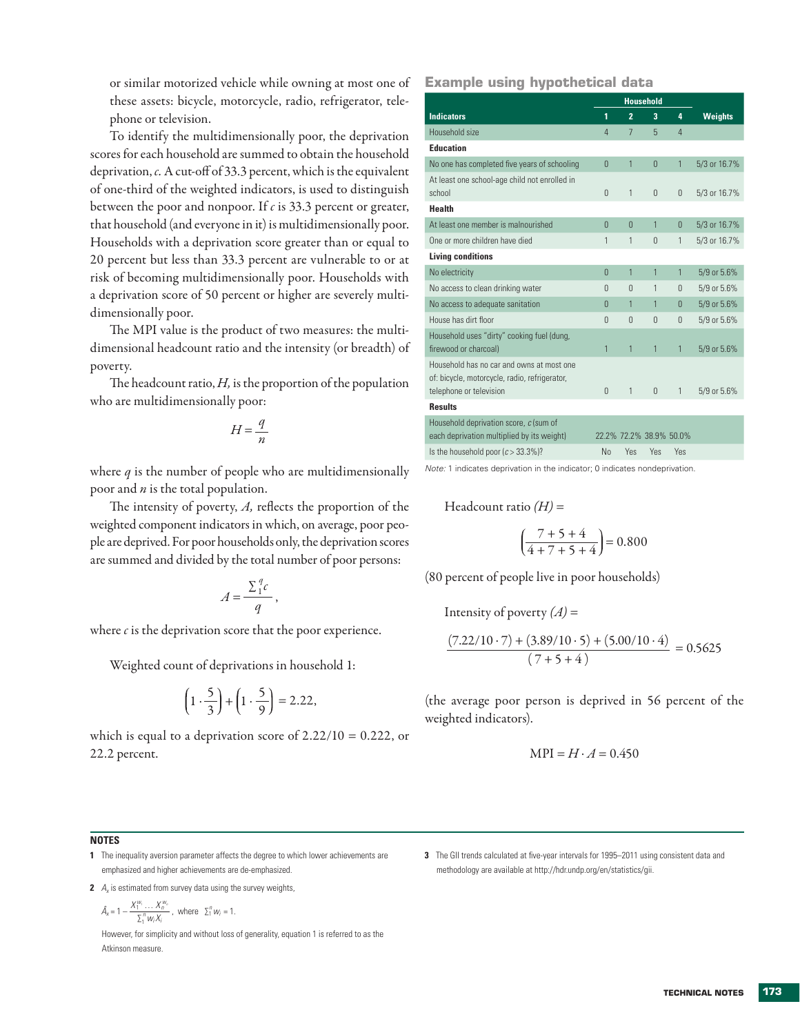or similar motorized vehicle while owning at most one of these assets: bicycle, motorcycle, radio, refrigerator, telephone or television.

To identify the multidimensionally poor, the deprivation scores for each household are summed to obtain the household deprivation, *c.* A cut-off of 33.3 percent, which is the equivalent of one-third of the weighted indicators, is used to distinguish between the poor and nonpoor. If *c* is 33.3 percent or greater, that household (and everyone in it) is multidimensionally poor. Households with a deprivation score greater than or equal to 20 percent but less than 33.3 percent are vulnerable to or at risk of becoming multidimensionally poor. Households with a deprivation score of 50 percent or higher are severely multidimensionally poor.

The MPI value is the product of two measures: the multidimensional headcount ratio and the intensity (or breadth) of poverty.

The headcount ratio, *H,* is the proportion of the population who are multidimensionally poor:

$$
H = \frac{q}{n}
$$

where *q* is the number of people who are multidimensionally poor and *n* is the total population.

The intensity of poverty, *A,* reflects the proportion of the weighted component indicators in which, on average, poor people are deprived. For poor households only, the deprivation scores are summed and divided by the total number of poor persons:

$$
A = \frac{\sum_{1}^{q} c}{q},
$$

where *c* is the deprivation score that the poor experience.

Weighted count of deprivations in household 1:

$$
\left(1 \cdot \frac{5}{3}\right) + \left(1 \cdot \frac{5}{9}\right) = 2.22,
$$

which is equal to a deprivation score of  $2.22/10 = 0.222$ , or 22.2 percent.

**Example using hypothetical data**

|                                                                                                                       |          | <b>Household</b>        |                |              |                |
|-----------------------------------------------------------------------------------------------------------------------|----------|-------------------------|----------------|--------------|----------------|
| <b>Indicators</b>                                                                                                     | 1        | $\overline{2}$          | 3              | 4            | <b>Weights</b> |
| Household size                                                                                                        | 4        | 7                       | 5              | 4            |                |
| <b>Education</b>                                                                                                      |          |                         |                |              |                |
| No one has completed five years of schooling                                                                          | $\Omega$ | 1                       | $\overline{0}$ | $\mathbf{1}$ | 5/3 or 16.7%   |
| At least one school-age child not enrolled in<br>school                                                               | 0        | 1                       | $\theta$       | 0            | 5/3 or 16.7%   |
| <b>Health</b>                                                                                                         |          |                         |                |              |                |
| At least one member is malnourished                                                                                   | $\Omega$ | $\Omega$                | 1              | 0            | 5/3 or 16.7%   |
| One or more children have died                                                                                        | 1        | 1                       | $\Omega$       | 1            | 5/3 or 16.7%   |
| <b>Living conditions</b>                                                                                              |          |                         |                |              |                |
| No electricity                                                                                                        | 0        | 1                       | 1              | $\mathbf{1}$ | 5/9 or 5.6%    |
| No access to clean drinking water                                                                                     | $\Omega$ | $\Omega$                | 1              | $\Omega$     | 5/9 or 5.6%    |
| No access to adequate sanitation                                                                                      | $\Omega$ | 1                       | 1              | $\Omega$     | 5/9 or 5.6%    |
| House has dirt floor                                                                                                  | $\Omega$ | $\Omega$                | $\Omega$       | $\Omega$     | 5/9 or 5.6%    |
| Household uses "dirty" cooking fuel (dung,<br>firewood or charcoal)                                                   | 1        | 1                       | 1              | 1            | 5/9 or 5.6%    |
| Household has no car and owns at most one<br>of: bicycle, motorcycle, radio, refrigerator,<br>telephone or television | $\theta$ | 1                       | $\Omega$       | 1            | 5/9 or 5.6%    |
| <b>Results</b>                                                                                                        |          |                         |                |              |                |
| Household deprivation score, c (sum of<br>each deprivation multiplied by its weight)                                  |          | 22.2% 72.2% 38.9% 50.0% |                |              |                |
| Is the household poor $(c > 33.3\%)$ ?                                                                                | No       | Yes                     | Yes            | Yes          |                |

*Note:* 1 indicates deprivation in the indicator; 0 indicates nondeprivation.

Headcount ratio *(H)* =

$$
\left(\frac{7+5+4}{4+7+5+4}\right) = 0.800
$$

(80 percent of people live in poor households)

Intensity of poverty  $(A)$  =

$$
\frac{(7.22/10 \cdot 7) + (3.89/10 \cdot 5) + (5.00/10 \cdot 4)}{(7 + 5 + 4)} = 0.5625
$$

(the average poor person is deprived in 56 percent of the weighted indicators).

$$
MPI = H \cdot A = 0.450
$$

## **NOTES**

- **1** The inequality aversion parameter affects the degree to which lower achievements are emphasized and higher achievements are de-emphasized.
- **2** *A<sub>x</sub>* is estimated from survey data using the survey weights,

$$
\hat{A}_x = 1 - \frac{X_1^{w_1} \dots X_n^{w_n}}{\Sigma_1^n w_i X_i}, \text{ where } \Sigma_1^n w_i = 1.
$$

However, for simplicity and without loss of generality, equation 1 is referred to as the Atkinson measure.

**3** The GII trends calculated at five-year intervals for 1995–2011 using consistent data and methodology are available at http://hdr.undp.org/en/statistics/gii.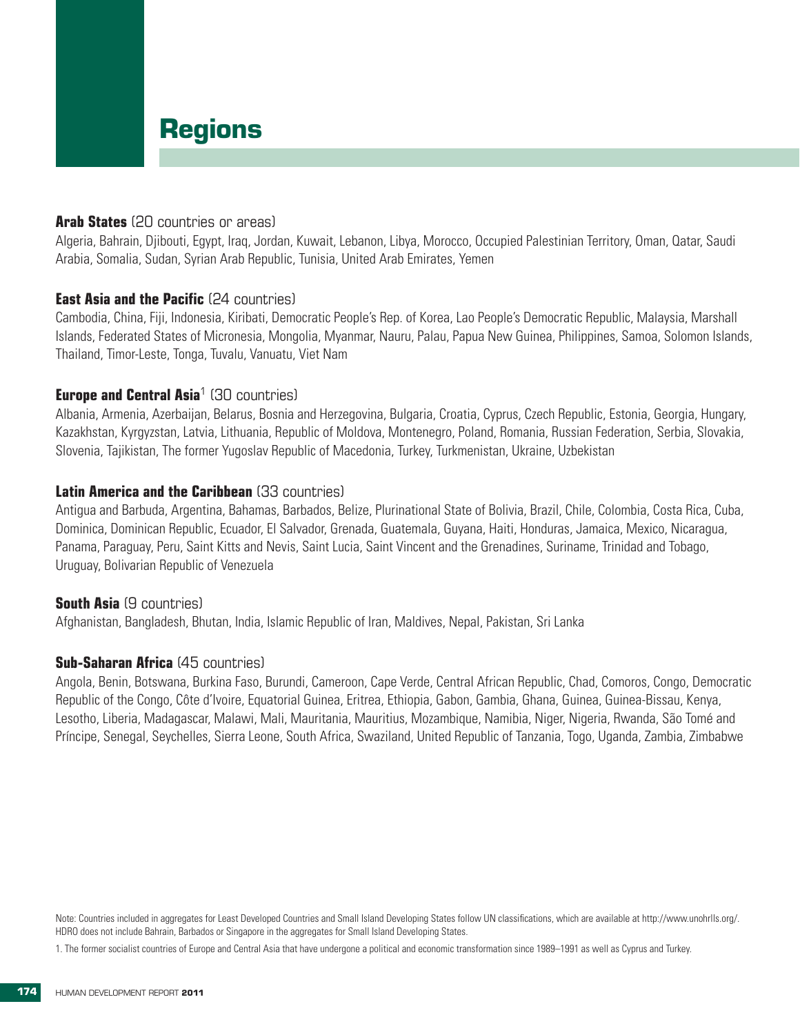# **Regions**

# **Arab States** (20 countries or areas)

Algeria, Bahrain, Djibouti, Egypt, Iraq, Jordan, Kuwait, Lebanon, Libya, Morocco, Occupied Palestinian Territory, Oman, Qatar, Saudi Arabia, Somalia, Sudan, Syrian Arab Republic, Tunisia, United Arab Emirates, Yemen

## **East Asia and the Pacific (24 countries)**

Cambodia, China, Fiji, Indonesia, Kiribati, Democratic People's Rep. of Korea, Lao People's Democratic Republic, Malaysia, Marshall Islands, Federated States of Micronesia, Mongolia, Myanmar, Nauru, Palau, Papua New Guinea, Philippines, Samoa, Solomon Islands, Thailand, Timor-Leste, Tonga, Tuvalu, Vanuatu, Viet Nam

## **Europe and Central Asia<sup>1</sup> (30 countries)**

Albania, Armenia, Azerbaijan, Belarus, Bosnia and Herzegovina, Bulgaria, Croatia, Cyprus, Czech Republic, Estonia, Georgia, Hungary, Kazakhstan, Kyrgyzstan, Latvia, Lithuania, Republic of Moldova, Montenegro, Poland, Romania, Russian Federation, Serbia, Slovakia, Slovenia, Tajikistan, The former Yugoslav Republic of Macedonia, Turkey, Turkmenistan, Ukraine, Uzbekistan

# **Latin America and the Caribbean** (33 countries)

Antigua and Barbuda, Argentina, Bahamas, Barbados, Belize, Plurinational State of Bolivia, Brazil, Chile, Colombia, Costa Rica, Cuba, Dominica, Dominican Republic, Ecuador, El Salvador, Grenada, Guatemala, Guyana, Haiti, Honduras, Jamaica, Mexico, Nicaragua, Panama, Paraguay, Peru, Saint Kitts and Nevis, Saint Lucia, Saint Vincent and the Grenadines, Suriname, Trinidad and Tobago, Uruguay, Bolivarian Republic of Venezuela

## **South Asia** (9 countries)

Afghanistan, Bangladesh, Bhutan, India, Islamic Republic of Iran, Maldives, Nepal, Pakistan, Sri Lanka

# **Sub-Saharan Africa** (45 countries)

Angola, Benin, Botswana, Burkina Faso, Burundi, Cameroon, Cape Verde, Central African Republic, Chad, Comoros, Congo, Democratic Republic of the Congo, Côte d'Ivoire, Equatorial Guinea, Eritrea, Ethiopia, Gabon, Gambia, Ghana, Guinea, Guinea-Bissau, Kenya, Lesotho, Liberia, Madagascar, Malawi, Mali, Mauritania, Mauritius, Mozambique, Namibia, Niger, Nigeria, Rwanda, São Tomé and Príncipe, Senegal, Seychelles, Sierra Leone, South Africa, Swaziland, United Republic of Tanzania, Togo, Uganda, Zambia, Zimbabwe

Note: Countries included in aggregates for Least Developed Countries and Small Island Developing States follow UN classifications, which are available at http://www.unohrlls.org/. HDRO does not include Bahrain, Barbados or Singapore in the aggregates for Small Island Developing States.

1. The former socialist countries of Europe and Central Asia that have undergone a political and economic transformation since 1989–1991 as well as Cyprus and Turkey.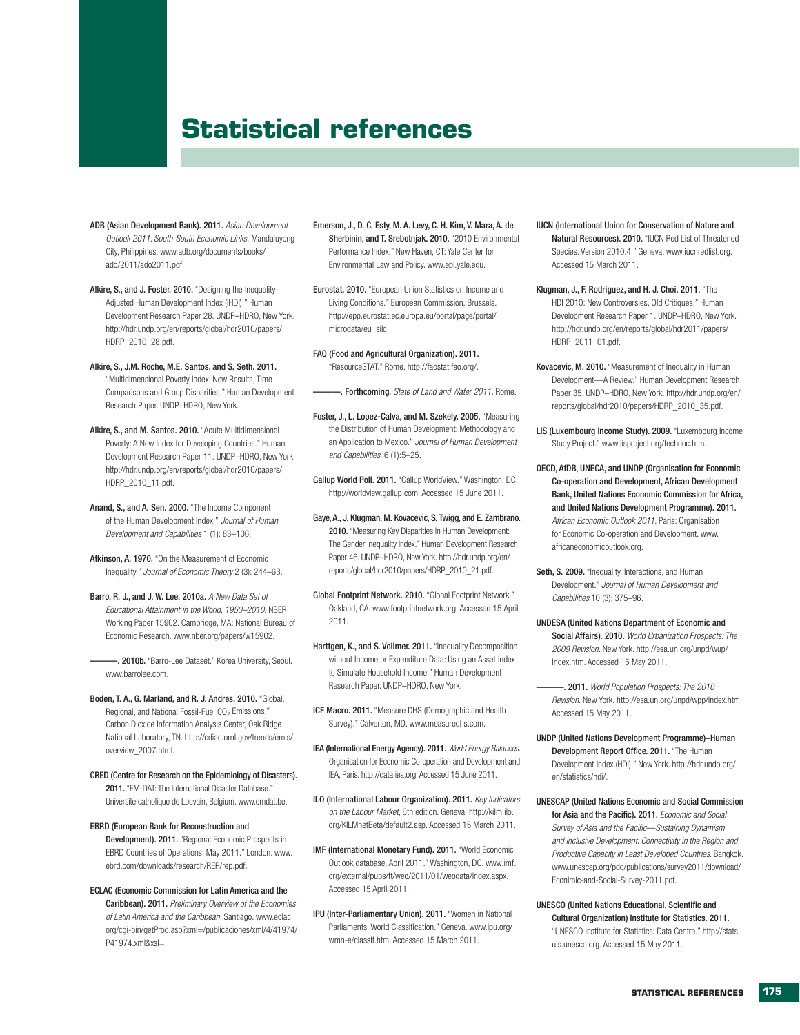# **Statistical references**

- ADB (Asian Development Bank). 2011. *Asian Development Outlook 2011: South-South Economic Links.* Mandaluyong City, Philippines. www.adb.org/documents/books/ ado/2011/ado2011.pdf.
- Alkire, S., and J. Foster. 2010. "Designing the Inequality-Adjusted Human Development Index (IHDI)." Human Development Research Paper 28. UNDP–HDRO, New York. http://hdr.undp.org/en/reports/global/hdr2010/papers/ HDRP\_2010\_28.pdf.
- Alkire, S., J.M. Roche, M.E. Santos, and S. Seth. 2011. "Multidimensional Poverty Index: New Results, Time Comparisons and Group Disparities." Human Development Research Paper. UNDP–HDRO, New York.
- Alkire, S., and M. Santos. 2010. "Acute Multidimensional Poverty: A New Index for Developing Countries." Human Development Research Paper 11*.* UNDP–HDRO, New York. http://hdr.undp.org/en/reports/global/hdr2010/papers/ HDRP\_2010\_11.pdf.
- Anand, S., and A. Sen. 2000. "The Income Component of the Human Development Index." *Journal of Human Development and Capabilities* 1 (1): 83–106.
- Atkinson, A. 1970. "On the Measurement of Economic Inequality." *Journal of Economic Theory* 2 (3): 244–63.
- Barro, R. J., and J. W. Lee. 2010a. *A New Data Set of Educational Attainment in the World, 1950–2010*. NBER Working Paper 15902. Cambridge, MA: National Bureau of Economic Research. www.nber.org/papers/w15902.
- . 2010b. "Barro-Lee Dataset." Korea University, Seoul. www.barrolee.com.
- Boden, T. A., G. Marland, and R. J. Andres. 2010. "Global, Regional, and National Fossil-Fuel CO<sub>2</sub> Emissions." Carbon Dioxide Information Analysis Center, Oak Ridge National Laboratory, TN. http://cdiac.ornl.gov/trends/emis/ overview\_2007.html.
- CRED (Centre for Research on the Epidemiology of Disasters). 2011. "EM-DAT: The International Disaster Database." Université catholique de Louvain, Belgium. www.emdat.be.
- EBRD (European Bank for Reconstruction and Development). 2011. "Regional Economic Prospects in EBRD Countries of Operations: May 2011." London. www. ebrd.com/downloads/research/REP/rep.pdf.
- ECLAC (Economic Commission for Latin America and the Caribbean). 2011. *Preliminary Overview of the Economies of Latin America and the Caribbean*. Santiago. www.eclac. org/cgi-bin/getProd.asp?xml=/publicaciones/xml/4/41974/ P41974.xml&xsl=.
- Emerson, J., D. C. Esty, M. A. Levy, C. H. Kim, V. Mara, A. de Sherbinin, and T. Srebotnjak. 2010. "2010 Environmental Performance Index." New Haven, CT: Yale Center for Environmental Law and Policy. www.epi.yale.edu.
- Eurostat. 2010. "European Union Statistics on Income and Living Conditions." European Commission, Brussels. http://epp.eurostat.ec.europa.eu/portal/page/portal/ microdata/eu\_silc.
- FAO (Food and Agricultural Organization). 2011. "ResourceSTAT." Rome. http://faostat.fao.org/.

———. Forthcoming. *State of Land and Water 2011*. Rome.

- Foster, J., L. López-Calva, and M. Szekely. 2005. "Measuring the Distribution of Human Development: Methodology and an Application to Mexico." *Journal of Human Development and Capabilities*. 6 (1):5–25.
- Gallup World Poll. 2011. "Gallup WorldView." Washington, DC. http://worldview.gallup.com. Accessed 15 June 2011.
- Gaye, A., J. Klugman, M. Kovacevic, S. Twigg, and E. Zambrano. 2010. "Measuring Key Disparities in Human Development: The Gender Inequality Index." Human Development Research Paper 46. UNDP–HDRO, New York. http://hdr.undp.org/en/ reports/global/hdr2010/papers/HDRP\_2010\_21.pdf.
- Global Footprint Network. 2010. "Global Footprint Network." Oakland, CA. www.footprintnetwork.org. Accessed 15 April 2011.
- Harttgen, K., and S. Vollmer. 2011. "Inequality Decomposition without Income or Expenditure Data: Using an Asset Index to Simulate Household Income." Human Development Research Paper. UNDP–HDRO, New York.
- ICF Macro. 2011. "Measure DHS (Demographic and Health Survey)." Calverton, MD. www.measuredhs.com.
- IEA (International Energy Agency). 2011. *World Energy Balances*. Organisation for Economic Co-operation and Development and IEA, Paris. http://data.iea.org. Accessed 15 June 2011.
- ILO (International Labour Organization). 2011. *Key Indicators on the Labour Market*, 6th edition. Geneva. http://kilm.ilo. org/KILMnetBeta/default2.asp. Accessed 15 March 2011.
- IMF (International Monetary Fund). 2011. "World Economic Outlook database, April 2011." Washington, DC. www.imf. org/external/pubs/ft/weo/2011/01/weodata/index.aspx. Accessed 15 April 2011.
- IPU (Inter-Parliamentary Union). 2011. "Women in National Parliaments: World Classification." Geneva. www.ipu.org/ wmn-e/classif.htm. Accessed 15 March 2011.
- IUCN (International Union for Conservation of Nature and Natural Resources). 2010. "IUCN Red List of Threatened Species. Version 2010.4." Geneva. www.iucnredlist.org. Accessed 15 March 2011.
- Klugman, J., F. Rodriguez, and H. J. Choi. 2011. "The HDI 2010: New Controversies, Old Critiques." Human Development Research Paper 1. UNDP–HDRO, New York. http://hdr.undp.org/en/reports/global/hdr2011/papers/ HDRP\_2011\_01.pdf.
- Kovacevic, M. 2010. "Measurement of Inequality in Human Development—A Review." Human Development Research Paper 35. UNDP–HDRO, New York. http://hdr.undp.org/en/ reports/global/hdr2010/papers/HDRP\_2010\_35.pdf.
- LIS (Luxembourg Income Study). 2009. "Luxembourg Income Study Project." www.lisproject.org/techdoc.htm.
- OECD, AfDB, UNECA, and UNDP (Organisation for Economic Co-operation and Development, African Development Bank, United Nations Economic Commission for Africa, and United Nations Development Programme). 2011. *African Economic Outlook 2011*. Paris: Organisation for Economic Co-operation and Development. www. africaneconomicoutlook.org.
- Seth, S. 2009. "Inequality, Interactions, and Human Development." *Journal of Human Development and Capabilities* 10 (3): 375–96.
- UNDESA (United Nations Department of Economic and Social Affairs). 2010. *World Urbanization Prospects: The 2009 Revision*. New York. http://esa.un.org/unpd/wup/ index.htm. Accessed 15 May 2011.
	- ———. 2011. *World Population Prospects: The 2010 Revision*. New York. http://esa.un.org/unpd/wpp/index.htm. Accessed 15 May 2011.
- UNDP (United Nations Development Programme)–Human Development Report Office. 2011. "The Human Development Index (HDI)." New York. http://hdr.undp.org/ en/statistics/hdi/.
- UNESCAP (United Nations Economic and Social Commission for Asia and the Pacific). 2011. *Economic and Social Survey of Asia and the Pacific*—*Sustaining Dynamism and Inclusive Development: Connectivity in the Region and Productive Capacity in Least Developed Countries*. Bangkok. www.unescap.org/pdd/publications/survey2011/download/ Econimic-and-Social-Survey-2011.pdf.
- UNESCO (United Nations Educational, Scientific and Cultural Organization) Institute for Statistics. 2011. "UNESCO Institute for Statistics: Data Centre." http://stats. uis.unesco.org. Accessed 15 May 2011.